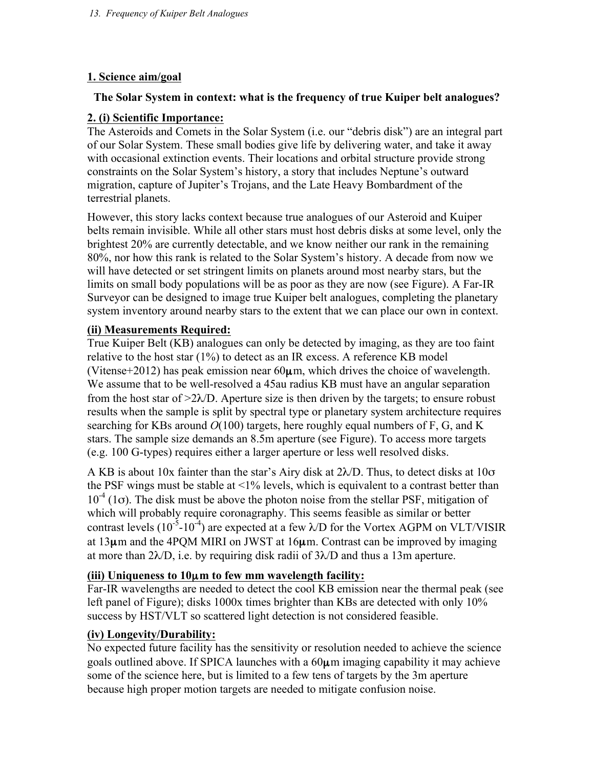## **1. Science aim/goal**

### **The Solar System in context: what is the frequency of true Kuiper belt analogues?**

## **2. (i) Scientific Importance:**

The Asteroids and Comets in the Solar System (i.e. our "debris disk") are an integral part of our Solar System. These small bodies give life by delivering water, and take it away with occasional extinction events. Their locations and orbital structure provide strong constraints on the Solar System's history, a story that includes Neptune's outward migration, capture of Jupiter's Trojans, and the Late Heavy Bombardment of the terrestrial planets.

However, this story lacks context because true analogues of our Asteroid and Kuiper belts remain invisible. While all other stars must host debris disks at some level, only the brightest 20% are currently detectable, and we know neither our rank in the remaining 80%, nor how this rank is related to the Solar System's history. A decade from now we will have detected or set stringent limits on planets around most nearby stars, but the limits on small body populations will be as poor as they are now (see Figure). A Far-IR Surveyor can be designed to image true Kuiper belt analogues, completing the planetary system inventory around nearby stars to the extent that we can place our own in context.

## **(ii) Measurements Required:**

True Kuiper Belt (KB) analogues can only be detected by imaging, as they are too faint relative to the host star (1%) to detect as an IR excess. A reference KB model (Vitense+2012) has peak emission near  $60\mu$ m, which drives the choice of wavelength. We assume that to be well-resolved a 45au radius KB must have an angular separation from the host star of  $\geq 2\lambda/D$ . Aperture size is then driven by the targets; to ensure robust results when the sample is split by spectral type or planetary system architecture requires searching for KBs around *O*(100) targets, here roughly equal numbers of F, G, and K stars. The sample size demands an 8.5m aperture (see Figure). To access more targets (e.g. 100 G-types) requires either a larger aperture or less well resolved disks.

A KB is about 10x fainter than the star's Airy disk at  $2\lambda/D$ . Thus, to detect disks at 10 $\sigma$ the PSF wings must be stable at  $\leq$ 1% levels, which is equivalent to a contrast better than  $10^{-4}$  (1 $\sigma$ ). The disk must be above the photon noise from the stellar PSF, mitigation of which will probably require coronagraphy. This seems feasible as similar or better contrast levels (10<sup>-5</sup>-10<sup>-4</sup>) are expected at a few  $\lambda$ /D for the Vortex AGPM on VLT/VISIR at 13µm and the 4PQM MIRI on JWST at 16µm. Contrast can be improved by imaging at more than  $2\lambda/D$ , i.e. by requiring disk radii of  $3\lambda/D$  and thus a 13m aperture.

## **(iii) Uniqueness to 10**µ**m to few mm wavelength facility:**

Far-IR wavelengths are needed to detect the cool KB emission near the thermal peak (see left panel of Figure); disks 1000x times brighter than KBs are detected with only 10% success by HST/VLT so scattered light detection is not considered feasible.

#### **(iv) Longevity/Durability:**

No expected future facility has the sensitivity or resolution needed to achieve the science goals outlined above. If SPICA launches with a 60µm imaging capability it may achieve some of the science here, but is limited to a few tens of targets by the 3m aperture because high proper motion targets are needed to mitigate confusion noise.